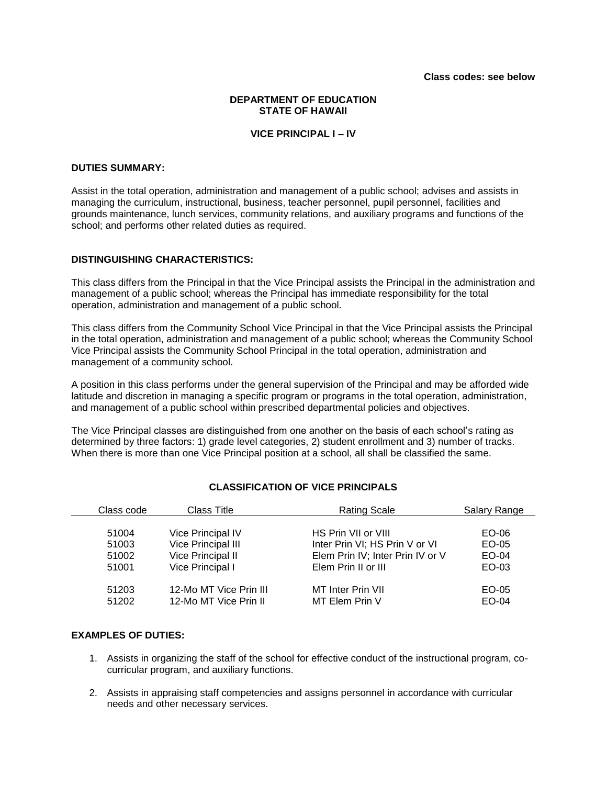## **DEPARTMENT OF EDUCATION STATE OF HAWAII**

# **VICE PRINCIPAL I – IV**

#### **DUTIES SUMMARY:**

Assist in the total operation, administration and management of a public school; advises and assists in managing the curriculum, instructional, business, teacher personnel, pupil personnel, facilities and grounds maintenance, lunch services, community relations, and auxiliary programs and functions of the school; and performs other related duties as required.

#### **DISTINGUISHING CHARACTERISTICS:**

This class differs from the Principal in that the Vice Principal assists the Principal in the administration and management of a public school; whereas the Principal has immediate responsibility for the total operation, administration and management of a public school.

This class differs from the Community School Vice Principal in that the Vice Principal assists the Principal in the total operation, administration and management of a public school; whereas the Community School Vice Principal assists the Community School Principal in the total operation, administration and management of a community school.

A position in this class performs under the general supervision of the Principal and may be afforded wide latitude and discretion in managing a specific program or programs in the total operation, administration, and management of a public school within prescribed departmental policies and objectives.

The Vice Principal classes are distinguished from one another on the basis of each school's rating as determined by three factors: 1) grade level categories, 2) student enrollment and 3) number of tracks. When there is more than one Vice Principal position at a school, all shall be classified the same.

| Class code     | <b>Class Title</b>                              | <b>Rating Scale</b>                 | <b>Salary Range</b> |
|----------------|-------------------------------------------------|-------------------------------------|---------------------|
| 51004          | <b>Vice Principal IV</b>                        | HS Prin VII or VIII                 | EO-06               |
| 51003          | Vice Principal III                              | Inter Prin VI; HS Prin V or VI      | EO-05               |
| 51002          | Vice Principal II                               | Elem Prin IV; Inter Prin IV or V    | EO-04               |
| 51001          | Vice Principal I                                | Elem Prin II or III                 | EO-03               |
| 51203<br>51202 | 12-Mo MT Vice Prin III<br>12-Mo MT Vice Prin II | MT Inter Prin VII<br>MT Elem Prin V | EO-05<br>$EO-04$    |

# **CLASSIFICATION OF VICE PRINCIPALS**

#### **EXAMPLES OF DUTIES:**

- 1. Assists in organizing the staff of the school for effective conduct of the instructional program, cocurricular program, and auxiliary functions.
- 2. Assists in appraising staff competencies and assigns personnel in accordance with curricular needs and other necessary services.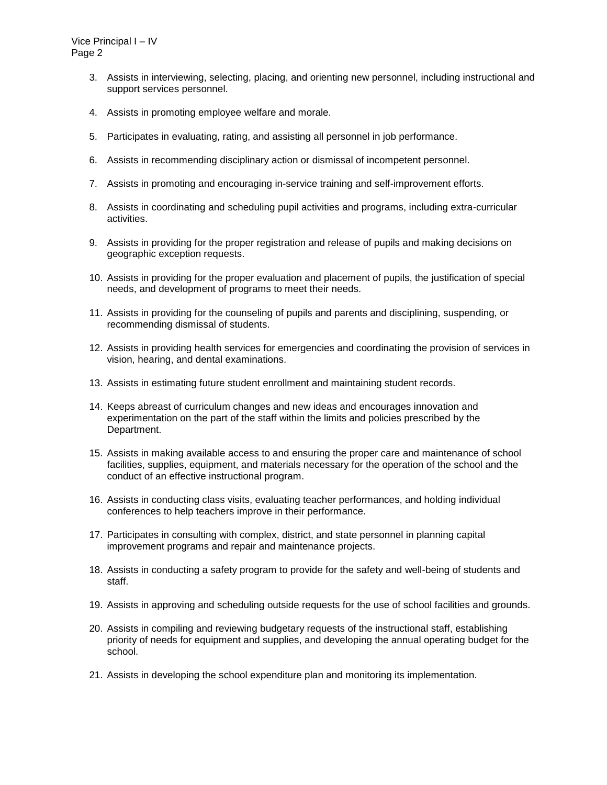- 3. Assists in interviewing, selecting, placing, and orienting new personnel, including instructional and support services personnel.
- 4. Assists in promoting employee welfare and morale.
- 5. Participates in evaluating, rating, and assisting all personnel in job performance.
- 6. Assists in recommending disciplinary action or dismissal of incompetent personnel.
- 7. Assists in promoting and encouraging in-service training and self-improvement efforts.
- 8. Assists in coordinating and scheduling pupil activities and programs, including extra-curricular activities.
- 9. Assists in providing for the proper registration and release of pupils and making decisions on geographic exception requests.
- 10. Assists in providing for the proper evaluation and placement of pupils, the justification of special needs, and development of programs to meet their needs.
- 11. Assists in providing for the counseling of pupils and parents and disciplining, suspending, or recommending dismissal of students.
- 12. Assists in providing health services for emergencies and coordinating the provision of services in vision, hearing, and dental examinations.
- 13. Assists in estimating future student enrollment and maintaining student records.
- 14. Keeps abreast of curriculum changes and new ideas and encourages innovation and experimentation on the part of the staff within the limits and policies prescribed by the Department.
- 15. Assists in making available access to and ensuring the proper care and maintenance of school facilities, supplies, equipment, and materials necessary for the operation of the school and the conduct of an effective instructional program.
- 16. Assists in conducting class visits, evaluating teacher performances, and holding individual conferences to help teachers improve in their performance.
- 17. Participates in consulting with complex, district, and state personnel in planning capital improvement programs and repair and maintenance projects.
- 18. Assists in conducting a safety program to provide for the safety and well-being of students and staff.
- 19. Assists in approving and scheduling outside requests for the use of school facilities and grounds.
- 20. Assists in compiling and reviewing budgetary requests of the instructional staff, establishing priority of needs for equipment and supplies, and developing the annual operating budget for the school.
- 21. Assists in developing the school expenditure plan and monitoring its implementation.